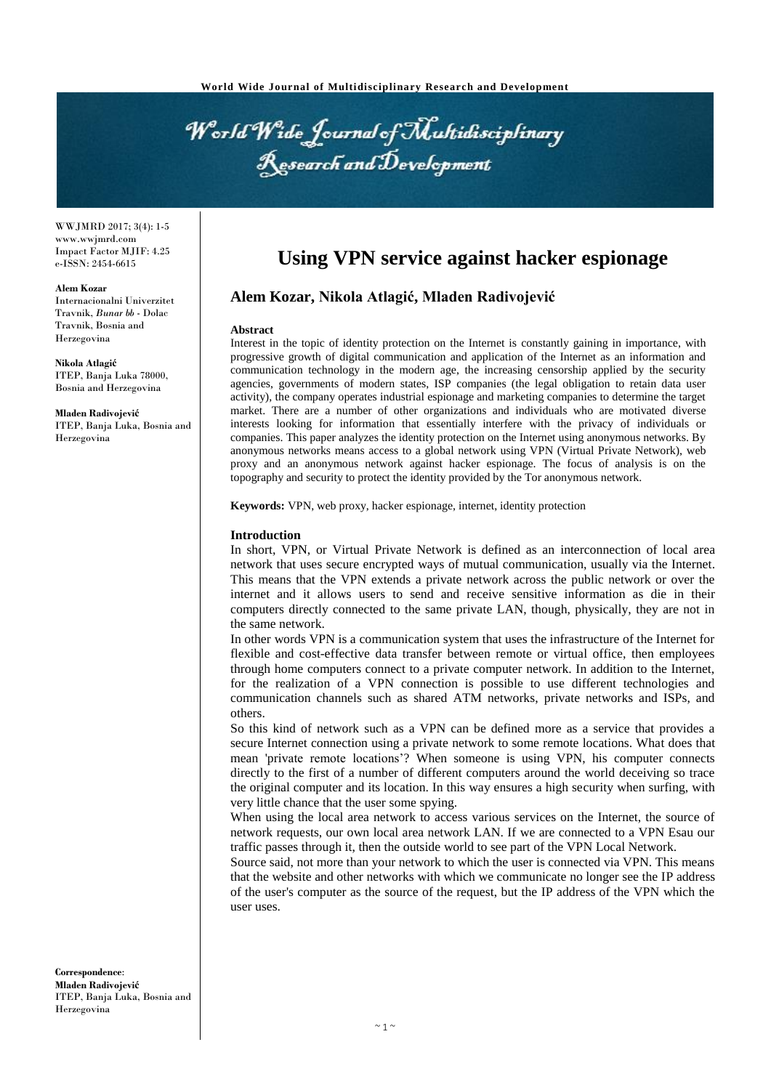

WWJMRD 2017; 3(4): 1-5 www.wwjmrd.com Impact Factor MJIF: 4.25 e-ISSN: 2454-6615

#### **Alem Kozar**

Internacionalni Univerzitet Travnik, *Bunar bb* - Dolac Travnik, Bosnia and Herzegovina

**Nikola Atlagić** ITEP, Banja Luka 78000, Bosnia and Herzegovina

**Mladen Radivojević** ITEP, Banja Luka, Bosnia and Herzegovina

## **Using VPN service against hacker espionage**

## **Alem Kozar, Nikola Atlagić, Mladen Radivojević**

### **Abstract**

Interest in the topic of identity protection on the Internet is constantly gaining in importance, with progressive growth of digital communication and application of the Internet as an information and communication technology in the modern age, the increasing censorship applied by the security agencies, governments of modern states, ISP companies (the legal obligation to retain data user activity), the company operates industrial espionage and marketing companies to determine the target market. There are a number of other organizations and individuals who are motivated diverse interests looking for information that essentially interfere with the privacy of individuals or companies. This paper analyzes the identity protection on the Internet using anonymous networks. By anonymous networks means access to a global network using VPN (Virtual Private Network), web proxy and an anonymous network against hacker espionage. The focus of analysis is on the topography and security to protect the identity provided by the Tor anonymous network.

**Keywords:** VPN, web proxy, hacker espionage, internet, identity protection

### **Introduction**

In short, VPN, or Virtual Private Network is defined as an interconnection of local area network that uses secure encrypted ways of mutual communication, usually via the Internet. This means that the VPN extends a private network across the public network or over the internet and it allows users to send and receive sensitive information as die in their computers directly connected to the same private LAN, though, physically, they are not in the same network.

In other words VPN is a communication system that uses the infrastructure of the Internet for flexible and cost-effective data transfer between remote or virtual office, then employees through home computers connect to a private computer network. In addition to the Internet, for the realization of a VPN connection is possible to use different technologies and communication channels such as shared ATM networks, private networks and ISPs, and others.

So this kind of network such as a VPN can be defined more as a service that provides a secure Internet connection using a private network to some remote locations. What does that mean 'private remote locations'? When someone is using VPN, his computer connects directly to the first of a number of different computers around the world deceiving so trace the original computer and its location. In this way ensures a high security when surfing, with very little chance that the user some spying.

When using the local area network to access various services on the Internet, the source of network requests, our own local area network LAN. If we are connected to a VPN Esau our traffic passes through it, then the outside world to see part of the VPN Local Network.

Source said, not more than your network to which the user is connected via VPN. This means that the website and other networks with which we communicate no longer see the IP address of the user's computer as the source of the request, but the IP address of the VPN which the user uses.

**Correspondence**: **Mladen Radivojević** ITEP, Banja Luka, Bosnia and Herzegovina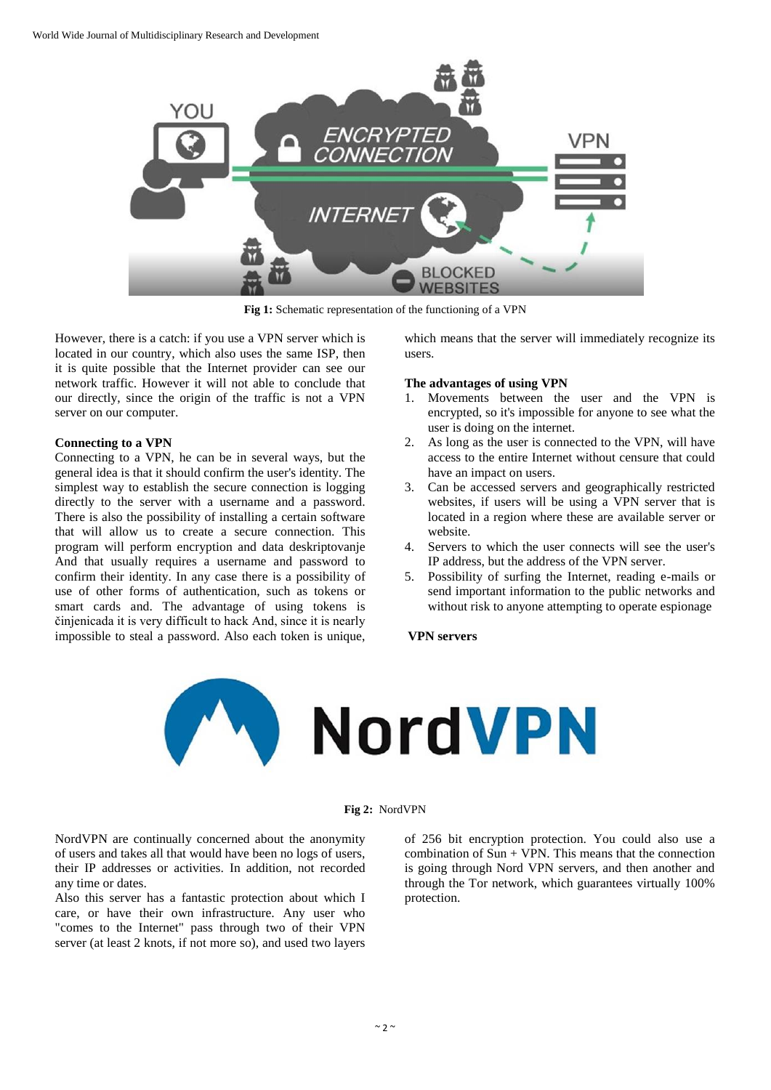

**Fig 1:** Schematic representation of the functioning of a VPN

However, there is a catch: if you use a VPN server which is located in our country, which also uses the same ISP, then it is quite possible that the Internet provider can see our network traffic. However it will not able to conclude that our directly, since the origin of the traffic is not a VPN server on our computer.

### **Connecting to a VPN**

Connecting to a VPN, he can be in several ways, but the general idea is that it should confirm the user's identity. The simplest way to establish the secure connection is logging directly to the server with a username and a password. There is also the possibility of installing a certain software that will allow us to create a secure connection. This program will perform encryption and data deskriptovanje And that usually requires a username and password to confirm their identity. In any case there is a possibility of use of other forms of authentication, such as tokens or smart cards and. The advantage of using tokens is činjenicada it is very difficult to hack And, since it is nearly impossible to steal a password. Also each token is unique,

which means that the server will immediately recognize its users.

### **The advantages of using VPN**

- 1. Movements between the user and the VPN is encrypted, so it's impossible for anyone to see what the user is doing on the internet.
- 2. As long as the user is connected to the VPN, will have access to the entire Internet without censure that could have an impact on users.
- Can be accessed servers and geographically restricted websites, if users will be using a VPN server that is located in a region where these are available server or website.
- 4. Servers to which the user connects will see the user's IP address, but the address of the VPN server.
- 5. Possibility of surfing the Internet, reading e-mails or send important information to the public networks and without risk to anyone attempting to operate espionage

### **VPN servers**



### **Fig 2:** NordVPN

NordVPN are continually concerned about the anonymity of users and takes all that would have been no logs of users, their IP addresses or activities. In addition, not recorded any time or dates.

Also this server has a fantastic protection about which I care, or have their own infrastructure. Any user who "comes to the Internet" pass through two of their VPN server (at least 2 knots, if not more so), and used two layers

of 256 bit encryption protection. You could also use a combination of  $Sun + VPN$ . This means that the connection is going through Nord VPN servers, and then another and through the Tor network, which guarantees virtually 100% protection.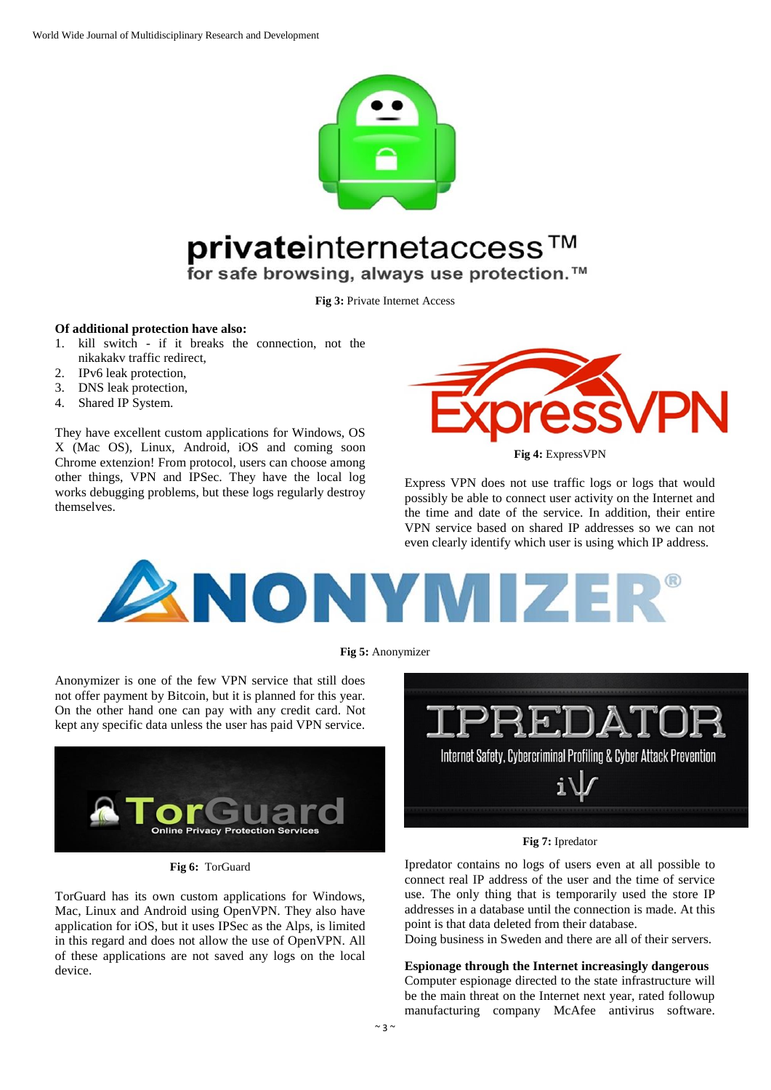

# privateinternetaccess™ for safe browsing, always use protection.™

**Fig 3:** Private Internet Access

## **Of additional protection have also:**

- 1. kill switch if it breaks the connection, not the nikakakv traffic redirect,
- 2. IPv6 leak protection,
- 3. DNS leak protection,
- 4. Shared IP System.

They have excellent custom applications for Windows, OS X (Mac OS), Linux, Android, iOS and coming soon Chrome extenzion! From protocol, users can choose among other things, VPN and IPSec. They have the local log works debugging problems, but these logs regularly destroy themselves.



**Fig 4:** ExpressVPN

Express VPN does not use traffic logs or logs that would possibly be able to connect user activity on the Internet and the time and date of the service. In addition, their entire VPN service based on shared IP addresses so we can not even clearly identify which user is using which IP address.



### **Fig 5:** Anonymizer

Anonymizer is one of the few VPN service that still does not offer payment by Bitcoin, but it is planned for this year. On the other hand one can pay with any credit card. Not kept any specific data unless the user has paid VPN service.



**Fig 6:** TorGuard

TorGuard has its own custom applications for Windows, Mac, Linux and Android using OpenVPN. They also have application for iOS, but it uses IPSec as the Alps, is limited in this regard and does not allow the use of OpenVPN. All of these applications are not saved any logs on the local device.



**Fig 7:** Ipredator

Ipredator contains no logs of users even at all possible to connect real IP address of the user and the time of service use. The only thing that is temporarily used the store IP addresses in a database until the connection is made. At this point is that data deleted from their database.

Doing business in Sweden and there are all of their servers.

### **Espionage through the Internet increasingly dangerous**

Computer espionage directed to the state infrastructure will be the main threat on the Internet next year, rated followup manufacturing company McAfee antivirus software.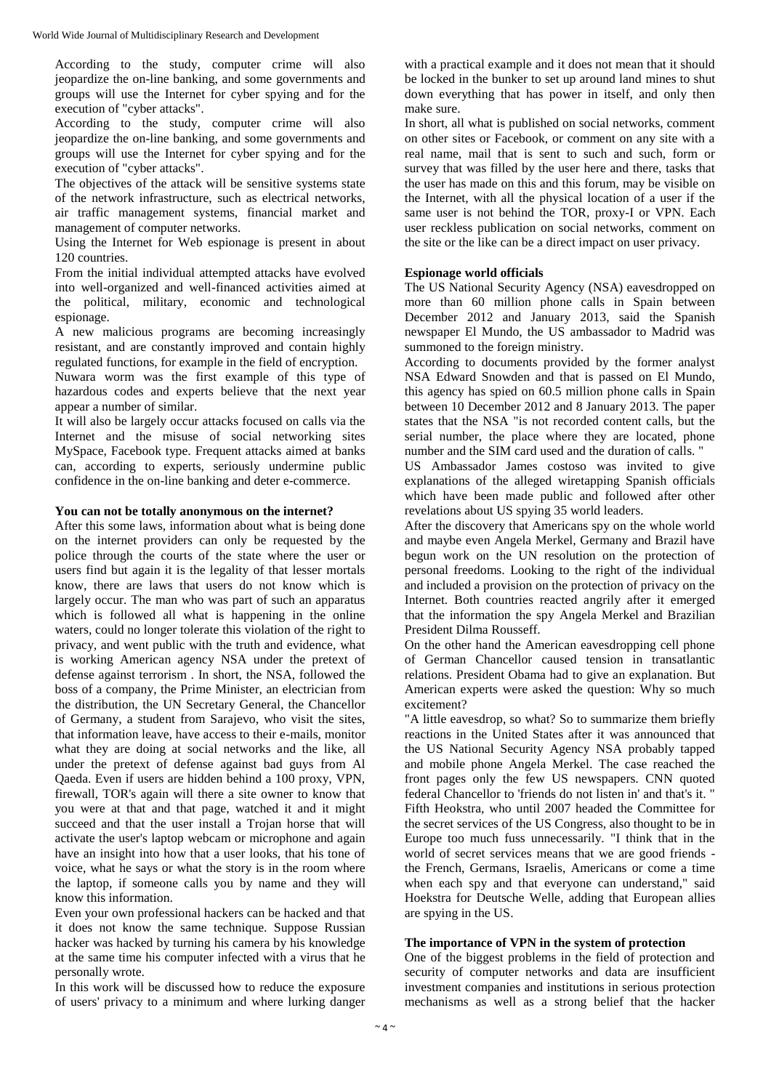According to the study, computer crime will also jeopardize the on-line banking, and some governments and groups will use the Internet for cyber spying and for the execution of "cyber attacks".

According to the study, computer crime will also jeopardize the on-line banking, and some governments and groups will use the Internet for cyber spying and for the execution of "cyber attacks".

The objectives of the attack will be sensitive systems state of the network infrastructure, such as electrical networks, air traffic management systems, financial market and management of computer networks.

Using the Internet for Web espionage is present in about 120 countries.

From the initial individual attempted attacks have evolved into well-organized and well-financed activities aimed at the political, military, economic and technological espionage.

A new malicious programs are becoming increasingly resistant, and are constantly improved and contain highly regulated functions, for example in the field of encryption.

Nuwara worm was the first example of this type of hazardous codes and experts believe that the next year appear a number of similar.

It will also be largely occur attacks focused on calls via the Internet and the misuse of social networking sites MySpace, Facebook type. Frequent attacks aimed at banks can, according to experts, seriously undermine public confidence in the on-line banking and deter e-commerce.

## **You can not be totally anonymous on the internet?**

After this some laws, information about what is being done on the internet providers can only be requested by the police through the courts of the state where the user or users find but again it is the legality of that lesser mortals know, there are laws that users do not know which is largely occur. The man who was part of such an apparatus which is followed all what is happening in the online waters, could no longer tolerate this violation of the right to privacy, and went public with the truth and evidence, what is working American agency NSA under the pretext of defense against terrorism . In short, the NSA, followed the boss of a company, the Prime Minister, an electrician from the distribution, the UN Secretary General, the Chancellor of Germany, a student from Sarajevo, who visit the sites, that information leave, have access to their e-mails, monitor what they are doing at social networks and the like, all under the pretext of defense against bad guys from Al Qaeda. Even if users are hidden behind a 100 proxy, VPN, firewall, TOR's again will there a site owner to know that you were at that and that page, watched it and it might succeed and that the user install a Trojan horse that will activate the user's laptop webcam or microphone and again have an insight into how that a user looks, that his tone of voice, what he says or what the story is in the room where the laptop, if someone calls you by name and they will know this information.

Even your own professional hackers can be hacked and that it does not know the same technique. Suppose Russian hacker was hacked by turning his camera by his knowledge at the same time his computer infected with a virus that he personally wrote.

In this work will be discussed how to reduce the exposure of users' privacy to a minimum and where lurking danger

with a practical example and it does not mean that it should be locked in the bunker to set up around land mines to shut down everything that has power in itself, and only then make sure.

In short, all what is published on social networks, comment on other sites or Facebook, or comment on any site with a real name, mail that is sent to such and such, form or survey that was filled by the user here and there, tasks that the user has made on this and this forum, may be visible on the Internet, with all the physical location of a user if the same user is not behind the TOR, proxy-I or VPN. Each user reckless publication on social networks, comment on the site or the like can be a direct impact on user privacy.

## **Espionage world officials**

The US National Security Agency (NSA) eavesdropped on more than 60 million phone calls in Spain between December 2012 and January 2013, said the Spanish newspaper El Mundo, the US ambassador to Madrid was summoned to the foreign ministry.

According to documents provided by the former analyst NSA Edward Snowden and that is passed on El Mundo, this agency has spied on 60.5 million phone calls in Spain between 10 December 2012 and 8 January 2013. The paper states that the NSA "is not recorded content calls, but the serial number, the place where they are located, phone number and the SIM card used and the duration of calls. "

US Ambassador James costoso was invited to give explanations of the alleged wiretapping Spanish officials which have been made public and followed after other revelations about US spying 35 world leaders.

After the discovery that Americans spy on the whole world and maybe even Angela Merkel, Germany and Brazil have begun work on the UN resolution on the protection of personal freedoms. Looking to the right of the individual and included a provision on the protection of privacy on the Internet. Both countries reacted angrily after it emerged that the information the spy Angela Merkel and Brazilian President Dilma Rousseff.

On the other hand the American eavesdropping cell phone of German Chancellor caused tension in transatlantic relations. President Obama had to give an explanation. But American experts were asked the question: Why so much excitement?

"A little eavesdrop, so what? So to summarize them briefly reactions in the United States after it was announced that the US National Security Agency NSA probably tapped and mobile phone Angela Merkel. The case reached the front pages only the few US newspapers. CNN quoted federal Chancellor to 'friends do not listen in' and that's it. " Fifth Heokstra, who until 2007 headed the Committee for the secret services of the US Congress, also thought to be in Europe too much fuss unnecessarily. "I think that in the world of secret services means that we are good friends the French, Germans, Israelis, Americans or come a time when each spy and that everyone can understand," said Hoekstra for Deutsche Welle, adding that European allies are spying in the US.

## **The importance of VPN in the system of protection**

One of the biggest problems in the field of protection and security of computer networks and data are insufficient investment companies and institutions in serious protection mechanisms as well as a strong belief that the hacker